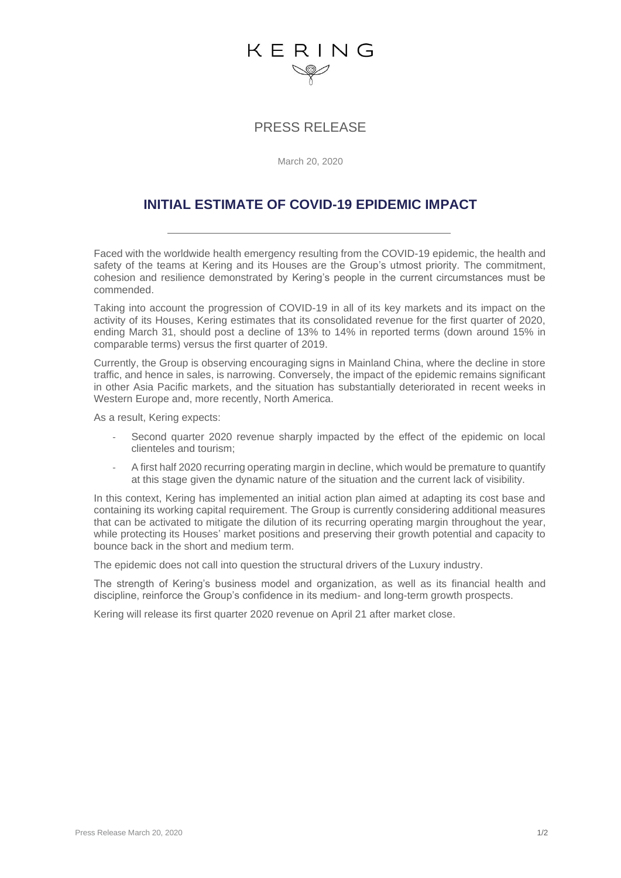## KERING

### PRESS RELEASE

March 20, 2020

## **INITIAL ESTIMATE OF COVID-19 EPIDEMIC IMPACT**

Faced with the worldwide health emergency resulting from the COVID-19 epidemic, the health and safety of the teams at Kering and its Houses are the Group's utmost priority. The commitment, cohesion and resilience demonstrated by Kering's people in the current circumstances must be commended.

Taking into account the progression of COVID-19 in all of its key markets and its impact on the activity of its Houses, Kering estimates that its consolidated revenue for the first quarter of 2020, ending March 31, should post a decline of 13% to 14% in reported terms (down around 15% in comparable terms) versus the first quarter of 2019.

Currently, the Group is observing encouraging signs in Mainland China, where the decline in store traffic, and hence in sales, is narrowing. Conversely, the impact of the epidemic remains significant in other Asia Pacific markets, and the situation has substantially deteriorated in recent weeks in Western Europe and, more recently, North America.

As a result, Kering expects:

- Second quarter 2020 revenue sharply impacted by the effect of the epidemic on local clienteles and tourism;
- A first half 2020 recurring operating margin in decline, which would be premature to quantify at this stage given the dynamic nature of the situation and the current lack of visibility.

In this context, Kering has implemented an initial action plan aimed at adapting its cost base and containing its working capital requirement. The Group is currently considering additional measures that can be activated to mitigate the dilution of its recurring operating margin throughout the year, while protecting its Houses' market positions and preserving their growth potential and capacity to bounce back in the short and medium term.

The epidemic does not call into question the structural drivers of the Luxury industry.

The strength of Kering's business model and organization, as well as its financial health and discipline, reinforce the Group's confidence in its medium- and long-term growth prospects.

Kering will release its first quarter 2020 revenue on April 21 after market close.